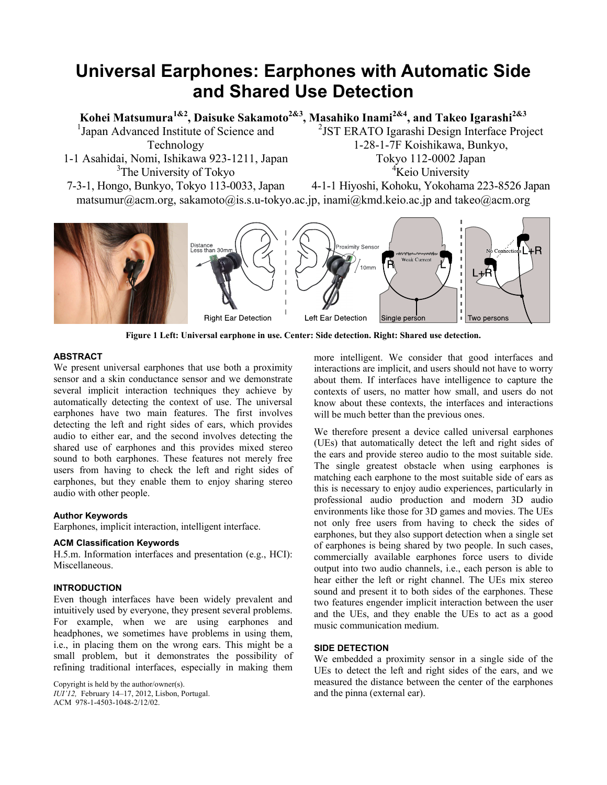# **Universal Earphones: Earphones with Automatic Side and Shared Use Detection**

**Kohei Matsumura1&2, Daisuke Sakamoto2&3, Masahiko Inami2&4, and Takeo Igarashi2&3** <sup>1</sup>Japan Advanced Institute of Science and Technology 1-1 Asahidai, Nomi, Ishikawa 923-1211, Japan 2 JST ERATO Igarashi Design Interface Project 1-28-1-7F Koishikawa, Bunkyo, Tokyo 112-0002 Japan

<sup>3</sup>The University of Tokyo

7-3-1, Hongo, Bunkyo, Tokyo 113-0033, Japan <sup>4</sup>Keio University 4-1-1 Hiyoshi, Kohoku, Yokohama 223-8526 Japan matsumur@acm.org, sakamoto@is.s.u-tokyo.ac.jp, inami@kmd.keio.ac.jp and takeo@acm.org



**Figure 1 Left: Universal earphone in use. Center: Side detection. Right: Shared use detection.**

# **ABSTRACT**

We present universal earphones that use both a proximity sensor and a skin conductance sensor and we demonstrate several implicit interaction techniques they achieve by automatically detecting the context of use. The universal earphones have two main features. The first involves detecting the left and right sides of ears, which provides audio to either ear, and the second involves detecting the shared use of earphones and this provides mixed stereo sound to both earphones. These features not merely free users from having to check the left and right sides of earphones, but they enable them to enjoy sharing stereo audio with other people.

# **Author Keywords**

Earphones, implicit interaction, intelligent interface.

### **ACM Classification Keywords**

H.5.m. Information interfaces and presentation (e.g., HCI): Miscellaneous.

# **INTRODUCTION**

Even though interfaces have been widely prevalent and intuitively used by everyone, they present several problems. For example, when we are using earphones and headphones, we sometimes have problems in using them, i.e., in placing them on the wrong ears. This might be a small problem, but it demonstrates the possibility of refining traditional interfaces, especially in making them

Copyright is held by the author/owner(s). *IUI'12,* February 14–17, 2012, Lisbon, Portugal. ACM 978-1-4503-1048-2/12/02.

more intelligent. We consider that good interfaces and interactions are implicit, and users should not have to worry about them. If interfaces have intelligence to capture the contexts of users, no matter how small, and users do not know about these contexts, the interfaces and interactions will be much better than the previous ones.

We therefore present a device called universal earphones (UEs) that automatically detect the left and right sides of the ears and provide stereo audio to the most suitable side. The single greatest obstacle when using earphones is matching each earphone to the most suitable side of ears as this is necessary to enjoy audio experiences, particularly in professional audio production and modern 3D audio environments like those for 3D games and movies. The UEs not only free users from having to check the sides of earphones, but they also support detection when a single set of earphones is being shared by two people. In such cases, commercially available earphones force users to divide output into two audio channels, i.e., each person is able to hear either the left or right channel. The UEs mix stereo sound and present it to both sides of the earphones. These two features engender implicit interaction between the user and the UEs, and they enable the UEs to act as a good music communication medium.

# **SIDE DETECTION**

We embedded a proximity sensor in a single side of the UEs to detect the left and right sides of the ears, and we measured the distance between the center of the earphones and the pinna (external ear).